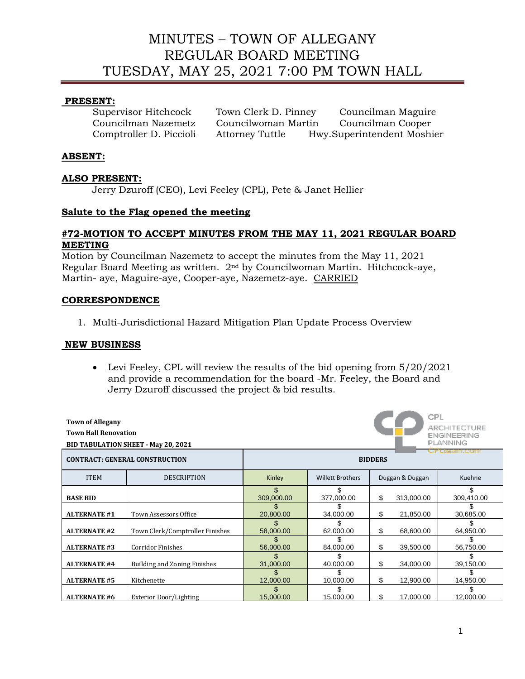# MINUTES – TOWN OF ALLEGANY REGULAR BOARD MEETING TUESDAY, MAY 25, 2021 7:00 PM TOWN HALL

## **PRESENT:**

| Supervisor Hitchcock    | Town Clerk D. Pinney   | Councilman Maguire         |
|-------------------------|------------------------|----------------------------|
| Councilman Nazemetz     | Councilwoman Martin    | Councilman Cooper          |
| Comptroller D. Piccioli | <b>Attorney Tuttle</b> | Hwy.Superintendent Moshier |

## **ABSENT:**

## **ALSO PRESENT:**

Jerry Dzuroff (CEO), Levi Feeley (CPL), Pete & Janet Hellier

## **Salute to the Flag opened the meeting**

## **#72-MOTION TO ACCEPT MINUTES FROM THE MAY 11, 2021 REGULAR BOARD MEETING**

Motion by Councilman Nazemetz to accept the minutes from the May 11, 2021 Regular Board Meeting as written. 2<sup>nd</sup> by Councilwoman Martin. Hitchcock-aye, Martin- aye, Maguire-aye, Cooper-aye, Nazemetz-aye. CARRIED

## **CORRESPONDENCE**

1. Multi-Jurisdictional Hazard Mitigation Plan Update Process Overview

#### **NEW BUSINESS**

• Levi Feeley, CPL will review the results of the bid opening from  $5/20/2021$ and provide a recommendation for the board -Mr. Feeley, the Board and Jerry Dzuroff discussed the project & bid results.

| CPL<br><b>Town of Allegany</b><br>ARCHITECTURE<br><b>Town Hall Renovation</b><br><b>ENGINEERING</b><br>PLANNING<br><b>BID TABULATION SHEET - May 20, 2021</b><br>ссеанг. соні |                                 |                   |                         |    |                 |            |  |
|-------------------------------------------------------------------------------------------------------------------------------------------------------------------------------|---------------------------------|-------------------|-------------------------|----|-----------------|------------|--|
| <b>CONTRACT: GENERAL CONSTRUCTION</b>                                                                                                                                         |                                 | <b>BIDDERS</b>    |                         |    |                 |            |  |
| <b>ITEM</b>                                                                                                                                                                   | <b>DESCRIPTION</b>              | Kinley            | <b>Willett Brothers</b> |    | Duggan & Duggan | Kuehne     |  |
| <b>BASE BID</b>                                                                                                                                                               |                                 | \$.<br>309,000.00 | 377,000.00              | \$ | 313,000.00      | 309,410.00 |  |
| <b>ALTERNATE #1</b>                                                                                                                                                           | <b>Town Assessors Office</b>    | 20,800.00         | 34,000.00               | \$ | 21,850.00       | 30,685.00  |  |
| <b>ALTERNATE #2</b>                                                                                                                                                           | Town Clerk/Comptroller Finishes | 58,000.00         | 62,000.00               | \$ | 68,600.00       | 64,950.00  |  |
| <b>ALTERNATE #3</b>                                                                                                                                                           | <b>Corridor Finishes</b>        | 56,000.00         | 84,000.00               | \$ | 39,500.00       | 56,750.00  |  |
| <b>ALTERNATE #4</b>                                                                                                                                                           | Building and Zoning Finishes    | 31,000.00         | 40,000.00               | \$ | 34,000.00       | 39,150.00  |  |
| <b>ALTERNATE #5</b>                                                                                                                                                           | Kitchenette                     | 12,000.00         | 10,000.00               | \$ | 12,900.00       | 14,950.00  |  |
| <b>ALTERNATE #6</b>                                                                                                                                                           | <b>Exterior Door/Lighting</b>   | 15,000.00         | 15,000.00               | \$ | 17,000.00       | 12,000.00  |  |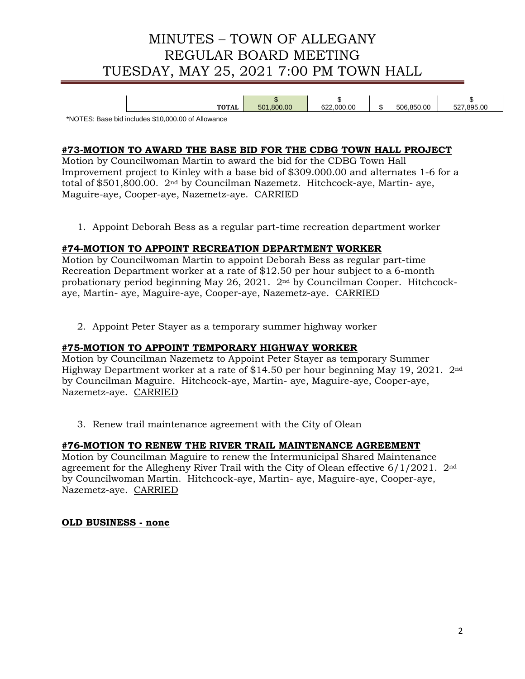# MINUTES – TOWN OF ALLEGANY REGULAR BOARD MEETING TUESDAY, MAY 25, 2021 7:00 PM TOWN HALL

|     | w                  |                                |                                         |                 |
|-----|--------------------|--------------------------------|-----------------------------------------|-----------------|
| TAL | 800.00<br>ᇊᄉ<br>ວບ | .00<br>000<br><b>000</b><br>Jz | .850.00<br>70C<br>൷<br>יו ור<br>$\cdot$ | .895.00<br>$-0$ |

\*NOTES: Base bid includes \$10,000.00 of Allowance

## **#73-MOTION TO AWARD THE BASE BID FOR THE CDBG TOWN HALL PROJECT**

Motion by Councilwoman Martin to award the bid for the CDBG Town Hall Improvement project to Kinley with a base bid of \$309.000.00 and alternates 1-6 for a total of \$501,800.00. 2nd by Councilman Nazemetz. Hitchcock-aye, Martin- aye, Maguire-aye, Cooper-aye, Nazemetz-aye. CARRIED

1. Appoint Deborah Bess as a regular part-time recreation department worker

## **#74-MOTION TO APPOINT RECREATION DEPARTMENT WORKER**

Motion by Councilwoman Martin to appoint Deborah Bess as regular part-time Recreation Department worker at a rate of \$12.50 per hour subject to a 6-month probationary period beginning May 26, 2021. 2nd by Councilman Cooper. Hitchcockaye, Martin- aye, Maguire-aye, Cooper-aye, Nazemetz-aye. CARRIED

2. Appoint Peter Stayer as a temporary summer highway worker

#### **#75-MOTION TO APPOINT TEMPORARY HIGHWAY WORKER**

Motion by Councilman Nazemetz to Appoint Peter Stayer as temporary Summer Highway Department worker at a rate of \$14.50 per hour beginning May 19, 2021. 2nd by Councilman Maguire. Hitchcock-aye, Martin- aye, Maguire-aye, Cooper-aye, Nazemetz-aye. CARRIED

3. Renew trail maintenance agreement with the City of Olean

## **#76-MOTION TO RENEW THE RIVER TRAIL MAINTENANCE AGREEMENT**

Motion by Councilman Maguire to renew the Intermunicipal Shared Maintenance agreement for the Allegheny River Trail with the City of Olean effective 6/1/2021. 2nd by Councilwoman Martin. Hitchcock-aye, Martin- aye, Maguire-aye, Cooper-aye, Nazemetz-aye. CARRIED

#### **OLD BUSINESS - none**